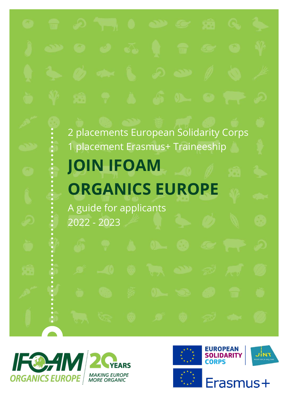# 2 placements European Solidarity Corps 1 placement Erasmus+ Traineeship **JOIN IFOAM ORGANICS EUROPE** A guide for applicants 2022 - 2023



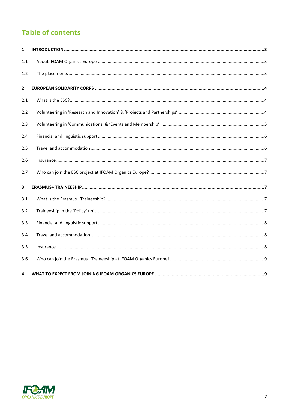# **Table of contents**

| 1                |  |
|------------------|--|
| 1.1              |  |
| 1.2 <sub>2</sub> |  |
| $\mathbf{2}$     |  |
| 2.1              |  |
| 2.2              |  |
| 2.3              |  |
| 2.4              |  |
| 2.5              |  |
| 2.6              |  |
| 2.7              |  |
| 3                |  |
| 3.1              |  |
| 3.2              |  |
| 3.3              |  |
| 3.4              |  |
| 3.5              |  |
| 3.6              |  |
| 4                |  |

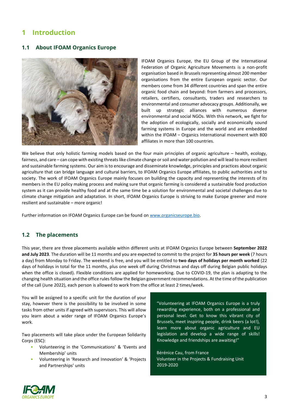# <span id="page-2-0"></span>**1 Introduction**

### <span id="page-2-1"></span>**1.1 About IFOAM Organics Europe**



IFOAM Organics Europe, the EU Group of the International Federation of Organic Agriculture Movements is a non-profit organisation based in Brussels representing almost 200 member organisations from the entire European organic sector. Our members come from 34 different countries and span the entire organic food chain and beyond: from farmers and processors, retailers, certifiers, consultants, traders and researchers to environmental and consumer advocacy groups. Additionally, we built up strategic alliances with numerous diverse environmental and social NGOs. With this network, we fight for the adoption of ecologically, socially and economically sound farming systems in Europe and the world and are embedded within the IFOAM – Organics International movement with 800 affiliates in more than 100 countries.

We believe that only holistic farming models based on the four main principles of organic agriculture – health, ecology, fairness, and care – can cope with existing threats like climate change or soil and water pollution and will lead to more resilient and sustainable farming systems. Our aim is to encourage and disseminate knowledge, principles and practices about organic agriculture that can bridge language and cultural barriers, to IFOAM Organics Europe affiliates, to public authorities and to society. The work of IFOAM Organics Europe mainly focuses on building the capacity and representing the interests of its members in the EU policy making process and making sure that organic farming is considered a sustainable food production system as it can provide healthy food and at the same time be a solution for environmental and societal challenges due to climate change mitigation and adaptation. In short, IFOAM Organics Europe is striving to make Europe greener and more resilient and sustainable – more organic!

Further information on IFOAM Organics Europe can be found on [www.organicseurope.bio.](https://www.organicseurope.bio/about-us/organics-europe/)

### <span id="page-2-2"></span>**1.2 The placements**

This year, there are three placements available within different units at IFOAM Organics Europe between **September 2022 and July 2023**. The duration will be 11 months and you are expected to commit to the project for **35 hours per week** (7 hours a day) from Monday to Friday. The weekend is free, and you will be entitled to **two days of holidays per month worked** (22 days of holidays in total for the 11 months, plus one week off during Christmas and days off during Belgian public holidays when the office is closed). Flexible conditions are applied for homeworking. Due to COVID-19, the plan is adapting to the changing health situation and the office rules follow the Belgian government recommendations. At the time of the publication of the call (June 2022), each person is allowed to work from the office at least 2 times/week.

You will be assigned to a specific unit for the duration of your stay, however there is the possibility to be involved in some tasks from other units if agreed with supervisors. This will allow you learn about a wider range of IFOAM Organics Europe's work.

Two placements will take place under the European Solidarity Corps (ESC):

- Volunteering in the 'Communications' & 'Events and Membership' units
- Volunteering in 'Research and Innovation' & 'Projects and Partnerships' units

"Volunteering at IFOAM Organics Europe is a truly rewarding experience, both on a professional and personal level. Get to know this vibrant city of Brussels, meet inspiring people, drink beers (a lot!), learn more about organic agriculture and EU legislation and develop a wide range of skills! Knowledge and friendships are awaiting!"

Bérénice Cau, from France Volunteer in the Projects & Fundraising Unit 2019-2020

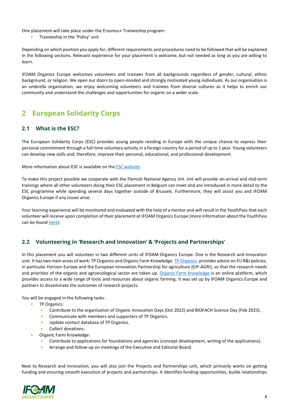One placement will take place under the Erasmus+ Traineeship program:

• Traineeship in the 'Policy' unit

Depending on which position you apply for, different requirements and procedures need to be followed that will be explained in the following sections. Relevant experience for your placement is welcome, but not needed as long as you are willing to learn.

IFOAM Organics Europe welcomes volunteers and trainees from all backgrounds regardless of gender, cultural, ethnic background, or religion. We open our doors to open-minded and strongly motivated young individuals. As our organisation is an umbrella organisation, we enjoy welcoming volunteers and trainees from diverse cultures as it helps to enrich our community and understand the challenges and opportunities for organic on a wider scale.

# <span id="page-3-0"></span>**2 European Solidarity Corps**

### <span id="page-3-1"></span>**2.1 What is the ESC?**

The European Solidarity Corps (ESC) provides young people residing in Europe with the unique chance to express their personal commitment through a full-time voluntary activity in a foreign country for a period of up to 1 year. Young volunteers can develop new skills and, therefore, improve their personal, educational, and professional development.

More information about ESC is available on th[e ESC website.](https://europa.eu/youth/solidarity_en)

To make this project possible we cooperate with the Flemish National Agency Jint. Jint will provide on-arrival and mid-term trainings where all other volunteers doing their ESC placement in Belgium can meet and are introduced in more detail to the ESC programme while spending several days together outside of Brussels. Furthermore, they will assist you and IFOAM Organics Europe if any issues arise.

Your learning experience will be monitored and evaluated with the help of a mentor and will result in the YouthPass that each volunteer will receive upon completion of their placement at IFOAM Organics Europe (more information about the YouthPass can be found [here\)](https://www.youthpass.eu/en/).).

### <span id="page-3-2"></span>**2.2 Volunteering in 'Research and Innovation' & 'Projects and Partnerships'**

In this placement you will volunteer in two different units of IFOAM Organics Europe. One is the Research and Innovation unit. It has two main areas of work: TP Organics and Organic Farm Knowledge. [TP Organics](https://tporganics.eu/) provides advice on EU R&I policies, in particular Horizon Europe and the European Innovation Partnership for agriculture (EIP-AGRI), so that the research needs and priorities of the organic and agroecological sector are taken up. [Organic Farm Knowledge](https://organic-farmknowledge.org/) is an online platform, which provides access to a wide range of tools and resources about organic farming. It was set up by IFOAM Organics Europe and partners to disseminate the outcomes of research projects.

You will be engaged in the following tasks:

- TP Organics:
	- Contribute to the organisation of Organic Innovation Days (Oct 2022) and BIOFACH Science Day (Feb 2023).
	- Communicate with members and supporters of TP Organics.
	- Update contact database of TP Organics.
	- Collect donations.
- Organic Farm Knowledge:
	- Contribute to applications for foundations and agencies (concept development, writing of the applications).
	- Arrange and follow-up on meetings of the Executive and Editorial Board.

Next to Research and Innovation, you will also join the Projects and Partnerships unit, which primarily works on getting funding and ensuring smooth execution of projects and partnerships. It identifies funding opportunities, builds relationships

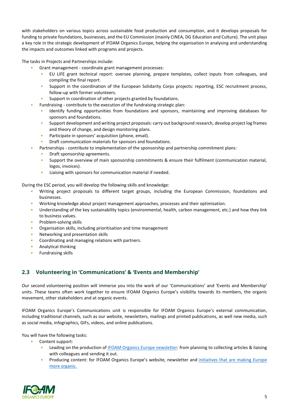with stakeholders on various topics across sustainable food production and consumption, and it develops proposals for funding to private foundations, businesses, and the EU Commission (mainly CINEA, DG Education and Culture). The unit plays a key role in the strategic development of IFOAM Organics Europe, helping the organisation in analysing and understanding the impacts and outcomes linked with programs and projects.

The tasks in Projects and Partnerships include:

- Grant management coordinate grant management processes:
	- EU LIFE grant technical report: oversee planning, prepare templates, collect inputs from colleagues, and compiling the final report.
	- Support in the coordination of the European Solidarity Corps projects: reporting, ESC recruitment process, follow-up with former volunteers.
	- Support in coordination of other projects granted by foundations.
- Fundraising contribute to the execution of the fundraising strategic plan:
	- Identify funding opportunities from foundations and sponsors, maintaining and improving databases for sponsors and foundations.
	- Support development and writing project proposals: carry out background research, develop project log frames and theory of change, and design monitoring plans.
	- Participate in sponsors' acquisition (phone, email).
	- Draft communication materials for sponsors and foundations.
- Partnerships contribute to implementation of the sponsorship and partnership commitment plans:
	- Draft sponsorship agreements.
	- Support the overview of main sponsorship commitments & ensure their fulfilment (communication material, logos, invoices).
	- Liaising with sponsors for communication material if needed.

During the ESC period, you will develop the following skills and knowledge:

- Writing project proposals to different target groups, including the European Commission, foundations and businesses.
- Working knowledge about project management approaches, processes and their optimisation.
- Understanding of the key sustainability topics (environmental, health, carbon management, etc.) and how they link to business values.
- Problem-solving skills
- Organisation skills, including prioritisation and time management
- Networking and presentation skills
- Coordinating and managing relations with partners.
- Analytical thinking
- Fundraising skills

### <span id="page-4-0"></span>**2.3 Volunteering in 'Communications' & 'Events and Membership'**

Our second volunteering position will immerse you into the work of our 'Communications' and 'Events and Membership' units. These teams often work together to ensure IFOAM Organics Europe's visibility towards its members, the organic movement, other stakeholders and at organic events.

IFOAM Organics Europe's Communications unit is responsible for IFOAM Organics Europe's external communication, including traditional channels, such as our website, newsletters, mailings and printed publications, as well new media, such as social media, infographics, GIFs, videos, and online publications.

You will have the following tasks:

- Content support:
	- Leading on the production of [IFOAM Organics Europe newsletter:](https://www.organicseurope.bio/newsletter/) from planning to collecting articles & liaising with colleagues and sending it out.
	- Producing content: for IFOAM Organics Europe's website, newsletter and [initiatives that are making Europe](https://euorganic2030.bio/)  [more organic.](https://euorganic2030.bio/)

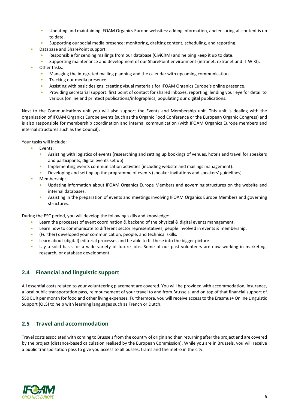- Updating and maintaining IFOAM Organics Europe websites: adding information, and ensuring all content is up to date.
- Supporting our social media presence: monitoring, drafting content, scheduling, and reporting.
- Database and SharePoint support:
	- Responsible for sending mailings from our database (CiviCRM) and helping keep it up to date.
	- Supporting maintenance and development of our SharePoint environment (intranet, extranet and IT WIKI).
- Other tasks:
	- Managing the integrated mailing planning and the calendar with upcoming communication.
	- Tracking our media presence.
	- Assisting with basic designs: creating visual materials for IFOAM Organics Europe's online presence.
	- Providing secretarial support: first point of contact for shared inboxes, reporting, lending your eye for detail to various (online and printed) publications/infographics, populating our digital publications.

Next to the Communications unit you will also support the Events and Membership unit. This unit is dealing with the organisation of IFOAM Organics Europe events (such as the Organic Food Conference or the European Organic Congress) and is also responsible for membership coordination and internal communication (with IFOAM Organics Europe members and internal structures such as the Council).

Your tasks will include:

- Events:
	- Assisting with logistics of events (researching and setting up bookings of venues, hotels and travel for speakers and participants, digital events set up).
	- Implementing events communication activities (including website and mailings management).
	- Developing and setting up the programme of events (speaker invitations and speakers' guidelines).
- Membership:
	- Updating information about IFOAM Organics Europe Members and governing structures on the website and internal databases.
	- Assisting in the preparation of events and meetings involving IFOAM Organics Europe Members and governing structures.

During the ESC period, you will develop the following skills and knowledge:

- Learn the processes of event coordination & backend of the physical & digital events management.
- Learn how to communicate to different sector representatives, people involved in events & membership.
- (Further) developed your communication, people, and technical skills.
- Learn about (digital) editorial processes and be able to fit these into the bigger picture.
- Lay a solid basis for a wide variety of future jobs. Some of our past volunteers are now working in marketing, research, or database development.

### <span id="page-5-0"></span>**2.4 Financial and linguistic support**

All essential costs related to your volunteering placement are covered. You will be provided with accommodation, insurance, a local public transportation pass, reimbursement of your travel to and from Brussels, and on top of that financial support of 550 EUR per month for food and other living expenses. Furthermore, you will receive access to the Erasmus+ Online Linguistic Support (OLS) to help with learning languages such as French or Dutch.

### <span id="page-5-1"></span>**2.5 Travel and accommodation**

Travel costs associated with coming to Brussels from the country of origin and then returning after the project end are covered by the project (distance-based calculation realised by the European Commission). While you are in Brussels, you will receive a public transportation pass to give you access to all busses, trams and the metro in the city.

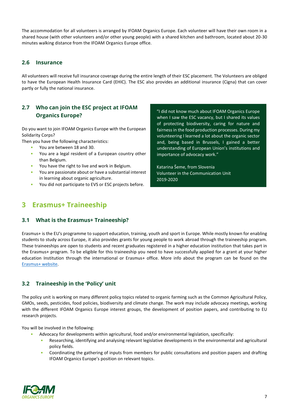The accommodation for all volunteers is arranged by IFOAM Organics Europe. Each volunteer will have their own room in a shared house (with other volunteers and/or other young people) with a shared kitchen and bathroom, located about 20-30 minutes walking distance from the IFOAM Organics Europe office.

### <span id="page-6-0"></span>**2.6 Insurance**

All volunteers will receive full insurance coverage during the entire length of their ESC placement. The Volunteers are obliged to have the European Health Insurance Card (EHIC). The ESC also provides an additional insurance (Cigna) that can cover partly or fully the national insurance.

### <span id="page-6-1"></span>**2.7 Who can join the ESC project at IFOAM Organics Europe?**

Do you want to join IFOAM Organics Europe with the European Solidarity Corps?

Then you have the following characteristics:

- You are between 18 and 30.
- You are a legal resident of a European country other than Belgium.
- You have the right to live and work in Belgium.
- You are passionate about or have a substantial interest in learning about organic agriculture.
- You did not participate to EVS or ESC projects before.

"I did not know much about IFOAM Organics Europe when I saw the ESC vacancy, but I shared its values of protecting biodiversity, caring for nature and fairness in the food production processes. During my volunteering I learned a lot about the organic sector and, being based in Brussels, I gained a better understanding of European Union's institutions and importance of advocacy work."

Katarina Šeme, from Slovenia Volunteer in the Communication Unit 2019-2020

## <span id="page-6-2"></span>**3 Erasmus+ Traineeship**

### <span id="page-6-3"></span>**3.1 What is the Erasmus+ Traineeship?**

Erasmus+ is the EU's programme to support education, training, youth and sport in Europe. While mostly known for enabling students to study across Europe, it also provides grants for young people to work abroad through the traineeship program. These traineeships are open to students and recent graduates registered in a higher education institution that takes part in the Erasmus+ program. To be eligible for this traineeship you need to have successfully applied for a grant at your higher education Institution through the international or Erasmus+ office. More info about the program can be found on the [Erasmus+ website.](https://erasmus-plus.ec.europa.eu/opportunities/opportunities-for-individuals/students/traineeship-student) 

### <span id="page-6-4"></span>**3.2 Traineeship in the 'Policy' unit**

The policy unit is working on many different policy topics related to organic farming such as the Common Agricultural Policy, GMOs, seeds, pesticides, food policies, biodiversity and climate change. The work may include advocacy meetings, working with the different IFOAM Organics Europe interest groups, the development of position papers, and contributing to EU research projects.

You will be involved in the following:

- Advocacy for developments within agricultural, food and/or environmental legislation, specifically:
	- Researching, identifying and analysing relevant legislative developments in the environmental and agricultural policy fields.
	- Coordinating the gathering of inputs from members for public consultations and position papers and drafting IFOAM Organics Europe's position on relevant topics.

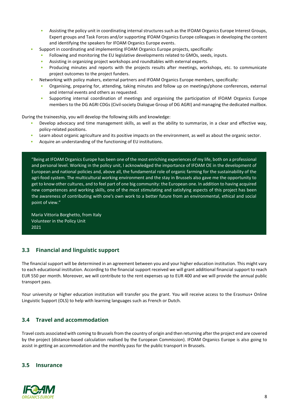- Assisting the policy unit in coordinating internal structures such as the IFOAM Organics Europe Interest Groups, Expert groups and Task Forces and/or supporting IFOAM Organics Europe colleagues in developing the content and identifying the speakers for IFOAM Organics Europe events.
- Support in coordinating and implementing IFOAM Organics Europe projects, specifically:
	- Following and monitoring the EU legislative developments related to GMOs, seeds, inputs.
	- Assisting in organizing project workshops and roundtables with external experts.
	- Producing minutes and reports with the projects results after meetings, workshops, etc. to communicate project outcomes to the project funders.
- Networking with policy makers, external partners and IFOAM Organics Europe members, specifically:
	- Organising, preparing for, attending, taking minutes and follow up on meetings/phone conferences, external and internal events and others as requested.
	- Supporting internal coordination of meetings and organising the participation of IFOAM Organics Europe members to the DG AGRI CDGs (Civil-society Dialogue Group of DG AGRI) and managing the dedicated mailbox.

During the traineeship, you will develop the following skills and knowledge:

- Develop advocacy and time management skills, as well as the ability to summarize, in a clear and effective way, policy-related positions.
- Learn about organic agriculture and its positive impacts on the environment, as well as about the organic sector.
- Acquire an understanding of the functioning of EU institutions.

"Being at IFOAM Organics Europe has been one of the most enriching experiences of my life, both on a professional and personal level. Working in the policy unit, I acknowledged the importance of IFOAM OE in the development of European and national policies and, above all, the fundamental role of organic farming for the sustainability of the agri-food system. The multicultural working environment and the stay in Brussels also gave me the opportunity to get to know other cultures, and to feel part of one big community: the European one. In addition to having acquired new competences and working skills, one of the most stimulating and satisfying aspects of this project has been the awareness of contributing with one's own work to a better future from an environmental, ethical and social point of view."

Maria Vittoria Borghetto, from Italy Volunteer in the Policy Unit 2021

### <span id="page-7-0"></span>**3.3 Financial and linguistic support**

The financial support will be determined in an agreement between you and your higher education institution. This might vary to each educational institution. According to the financial support received we will grant additional financial support to reach EUR 550 per month. Moreover, we will contribute to the rent expenses up to EUR 400 and we will provide the annual public transport pass.

Your university or higher education institution will transfer you the grant. You will receive access to the Erasmus+ Online Linguistic Support (OLS) to help with learning languages such as French or Dutch.

### <span id="page-7-1"></span>**3.4 Travel and accommodation**

Travel costs associated with coming to Brussels from the country of origin and then returning after the project end are covered by the project (distance-based calculation realised by the European Commission). IFOAM Organics Europe is also going to assist in getting an accommodation and the monthly pass for the public transport in Brussels.

### <span id="page-7-2"></span>**3.5 Insurance**